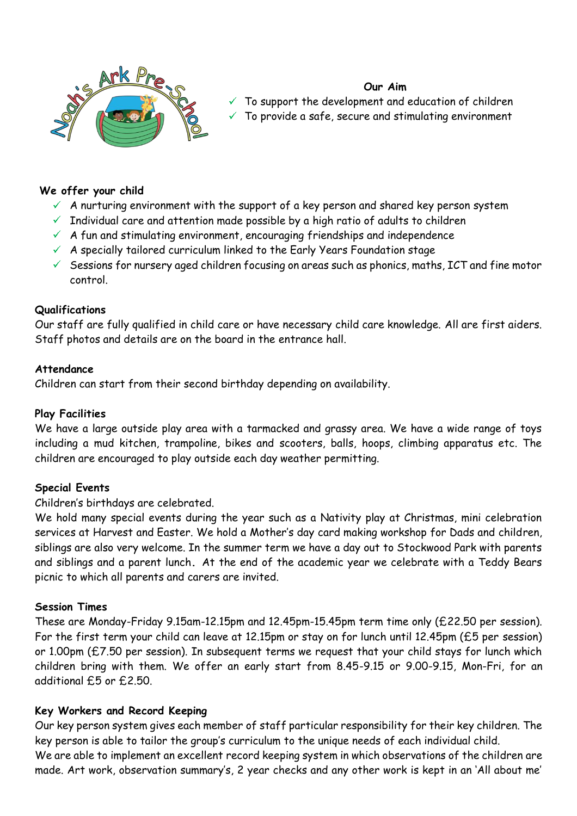

# **Our Aim**

To support the development and education of children To provide a safe, secure and stimulating environment

### **We offer your child**

- $\checkmark$  A nurturing environment with the support of a key person and shared key person system
- $\checkmark$  Individual care and attention made possible by a high ratio of adults to children
- $\checkmark$  A fun and stimulating environment, encouraging friendships and independence
- $\checkmark$  A specially tailored curriculum linked to the Early Years Foundation stage
- $\checkmark$  Sessions for nursery aged children focusing on areas such as phonics, maths, ICT and fine motor control.

#### **Qualifications**

Our staff are fully qualified in child care or have necessary child care knowledge. All are first aiders. Staff photos and details are on the board in the entrance hall.

#### **Attendance**

Children can start from their second birthday depending on availability.

### **Play Facilities**

We have a large outside play area with a tarmacked and grassy area. We have a wide range of toys including a mud kitchen, trampoline, bikes and scooters, balls, hoops, climbing apparatus etc. The children are encouraged to play outside each day weather permitting.

#### **Special Events**

#### Children's birthdays are celebrated.

We hold many special events during the year such as a Nativity play at Christmas, mini celebration services at Harvest and Easter. We hold a Mother's day card making workshop for Dads and children, siblings are also very welcome. In the summer term we have a day out to Stockwood Park with parents and siblings and a parent lunch**.** At the end of the academic year we celebrate with a Teddy Bears picnic to which all parents and carers are invited.

#### **Session Times**

These are Monday-Friday 9.15am-12.15pm and 12.45pm-15.45pm term time only (£22.50 per session). For the first term your child can leave at 12.15pm or stay on for lunch until 12.45pm (£5 per session) or 1.00pm (£7.50 per session). In subsequent terms we request that your child stays for lunch which children bring with them. We offer an early start from 8.45-9.15 or 9.00-9.15, Mon-Fri, for an additional £5 or £2.50.

## **Key Workers and Record Keeping**

Our key person system gives each member of staff particular responsibility for their key children. The key person is able to tailor the group's curriculum to the unique needs of each individual child. We are able to implement an excellent record keeping system in which observations of the children are made. Art work, observation summary's, 2 year checks and any other work is kept in an 'All about me'